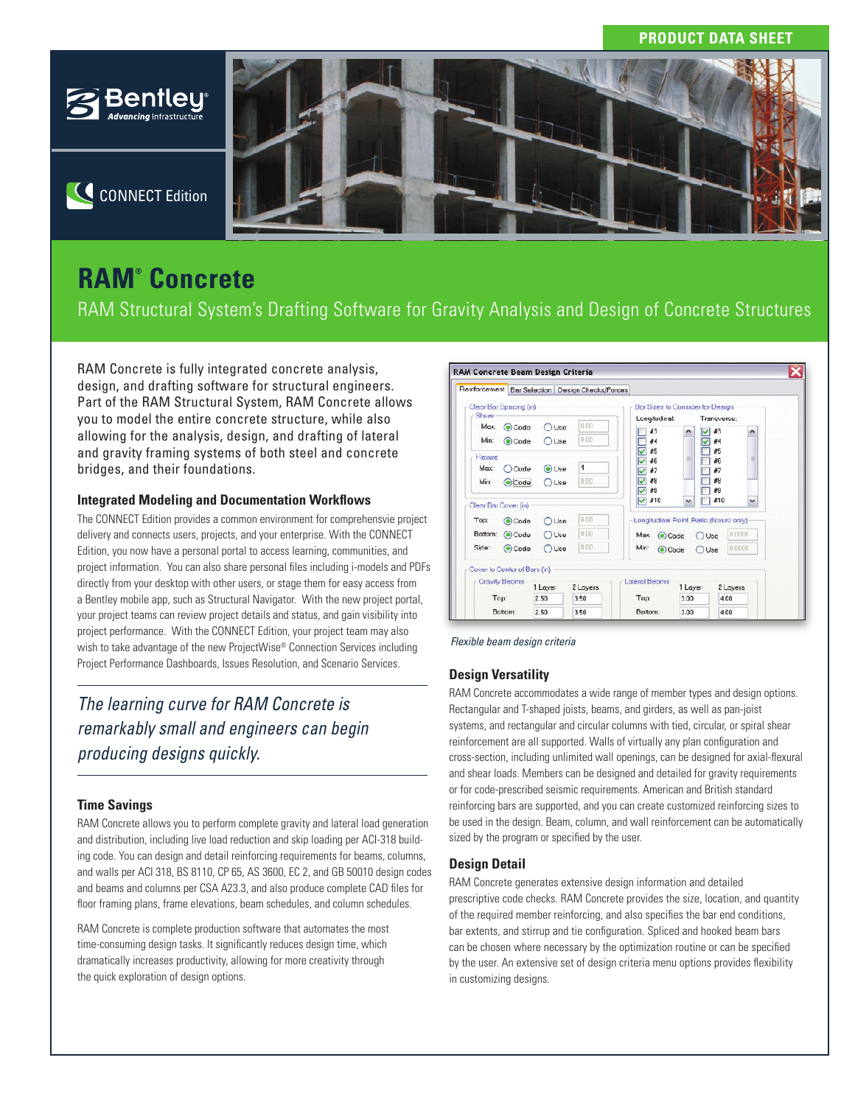## **PRODUCT DATA SHEET**



C CONNECT Edition

# **RAM® Concrete**

RAM Structural System's Drafting Software for Gravity Analysis and Design of Concrete Structures

RAM Concrete is fully integrated concrete analysis, design, and drafting software for structural engineers. Part of the RAM Structural System, RAM Concrete allows you to model the entire concrete structure, while also allowing for the analysis, design, and drafting of lateral and gravity framing systems of both steel and concrete bridges, and their foundations.

### **Integrated Modeling and Documentation Workflows**

The CONNECT Edition provides a common environment for comprehensvie project delivery and connects users, projects, and your enterprise. With the CONNECT Edition, you now have a personal portal to access learning, communities, and project information. You can also share personal files including i-models and PDFs directly from your desktop with other users, or stage them for easy access from a Bentley mobile app, such as Structural Navigator. With the new project portal, your project teams can review project details and status, and gain visibility into project performance. With the CONNECT Edition, your project team may also wish to take advantage of the new ProjectWise® Connection Services including Project Performance Dashboards, Issues Resolution, and Scenario Services.

## *The learning curve for RAM Concrete is remarkably small and engineers can begin producing designs quickly.*

## **Time Savings**

RAM Concrete allows you to perform complete gravity and lateral load generation and distribution, including live load reduction and skip loading per ACI-318 building code. You can design and detail reinforcing requirements for beams, columns, and walls per ACI 318, BS 8110, CP 65, AS 3600, EC 2, and GB 50010 design codes and beams and columns per CSA A23.3, and also produce complete CAD files for floor framing plans, frame elevations, beam schedules, and column schedules.

RAM Concrete is complete production software that automates the most time-consuming design tasks. It significantly reduces design time, which dramatically increases productivity, allowing for more creativity through the quick exploration of design options.





## **Design Versatility**

RAM Concrete accommodates a wide range of member types and design options. Rectangular and T-shaped joists, beams, and girders, as well as pan-joist systems, and rectangular and circular columns with tied, circular, or spiral shear reinforcement are all supported. Walls of virtually any plan configuration and cross-section, including unlimited wall openings, can be designed for axial-flexural and shear loads. Members can be designed and detailed for gravity requirements or for code-prescribed seismic requirements. American and British standard reinforcing bars are supported, and you can create customized reinforcing sizes to be used in the design. Beam, column, and wall reinforcement can be automatically sized by the program or specified by the user.

#### **Design Detail**

RAM Concrete generates extensive design information and detailed prescriptive code checks. RAM Concrete provides the size, location, and quantity of the required member reinforcing, and also specifies the bar end conditions, bar extents, and stirrup and tie configuration. Spliced and hooked beam bars can be chosen where necessary by the optimization routine or can be specified by the user. An extensive set of design criteria menu options provides flexibility in customizing designs.